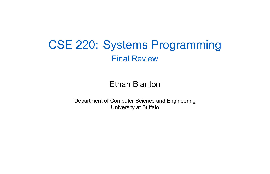#### CSE 220: Systems Programming Final Review

#### Ethan Blanton

Department of Computer Science and Engineering University at Buffalo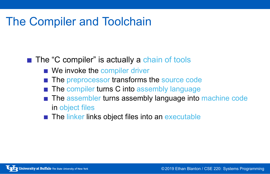## The Compiler and Toolchain

- The "C compiler" is actually a chain of tools
	- We invoke the compiler driver
	- The preprocessor transforms the source code
	- The compiler turns C into assembly language
	- The assembler turns assembly language into machine code in object files
	- The linker links object files into an executable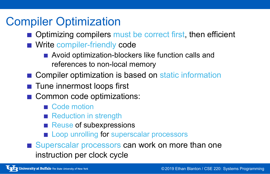## Compiler Optimization

- **Optimizing compilers must be correct first, then efficient**
- **Write compiler-friendly code** 
	- Avoid optimization-blockers like function calls and references to non-local memory
- Compiler optimization is based on static information
- **Tune innermost loops first**
- Common code optimizations:
	- Code motion
	- Reduction in strength
	- Reuse of subexpressions
	- Loop unrolling for superscalar processors
- Superscalar processors can work on more than one instruction per clock cycle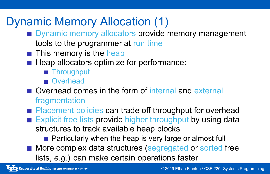## Dynamic Memory Allocation (1)

- Dynamic memory allocators provide memory management tools to the programmer at run time
- $\blacksquare$  This memory is the heap
- $\blacksquare$  Heap allocators optimize for performance:
	- **Throughput**
	- **Overhead**
- Overhead comes in the form of internal and external fragmentation
- Placement policies can trade off throughput for overhead
- Explicit free lists provide higher throughput by using data structures to track available heap blocks
	- **Particularly when the heap is very large or almost full**
- **More complex data structures (segregated or sorted free** lists, *e.g.*) can make certain operations faster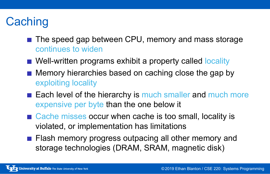## **Caching**

- The speed gap between CPU, memory and mass storage continues to widen
- Well-written programs exhibit a property called locality
- $\blacksquare$  Memory hierarchies based on caching close the gap by exploiting locality
- Each level of the hierarchy is much smaller and much more expensive per byte than the one below it
- Cache misses occur when cache is too small, locality is violated, or implementation has limitations
- **Flash memory progress outpacing all other memory and** storage technologies (DRAM, SRAM, magnetic disk)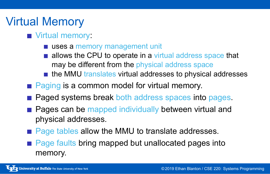### Virtual Memory

#### **Virtual memory:**

- uses a memory management unit
- allows the CPU to operate in a virtual address space that may be different from the physical address space
- $\blacksquare$  the MMU translates virtual addresses to physical addresses
- Paging is a common model for virtual memory.
- **Paged systems break both address spaces into pages.**
- **Pages can be mapped individually between virtual and** physical addresses.
- Page tables allow the MMU to translate addresses.
- **Page faults bring mapped but unallocated pages into** memory.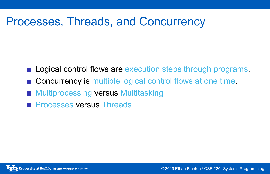# Processes, Threads, and Concurrency

- Logical control flows are execution steps through programs.
- Concurrency is multiple logical control flows at one time.
- **Multiprocessing versus Multitasking**
- **Processes versus Threads**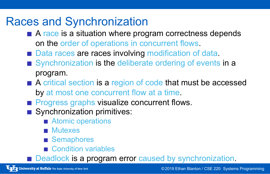## Races and Synchronization

- A race is a situation where program correctness depends on the order of operations in concurrent flows.
- Data races are races involving modification of data.
- Synchronization is the deliberate ordering of events in a program.
- A critical section is a region of code that must be accessed by at most one concurrent flow at a time.
- **Progress graphs visualize concurrent flows.**
- Synchronization primitives:
	- **Atomic operations**
	- **Mutexes**
	- **Semaphores**
	- Condition variables
- Deadlock is a program error caused by synchronization.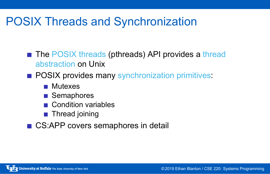# POSIX Threads and Synchronization

- The POSIX threads (pthreads) API provides a thread abstraction on Unix
- **POSIX provides many synchronization primitives:** 
	- **Mutexes**
	- Semaphores
	- Condition variables
	- **Thread joining**
- CS:APP covers semaphores in detail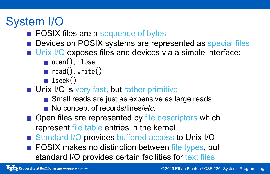## System I/O

- **POSIX files are a sequence of bytes**
- Devices on POSIX systems are represented as special files
- Unix I/O exposes files and devices via a simple interface:
	- open(), close
	- $\blacksquare$  read(), write()
	- **l** lseek()
- **Unix I/O is very fast, but rather primitive** 
	- Small reads are just as expensive as large reads ■ No concept of records/lines/*etc.*
- **Open files are represented by file descriptors which** represent file table entries in the kernel
- Standard I/O provides buffered access to Unix I/O
- **POSIX makes no distinction between file types, but** standard I/O provides certain facilities for text files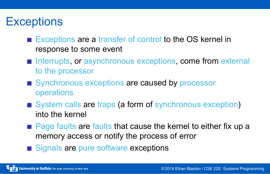## **Exceptions**

- Exceptions are a transfer of control to the OS kernel in response to some event
- Interrupts, or asynchronous exceptions, come from external to the processor
- Synchronous exceptions are caused by processor operations
- System calls are traps (a form of synchronous exception) into the kernel
- Page faults are faults that cause the kernel to either fix up a memory access or notify the process of error
- Signals are pure software exceptions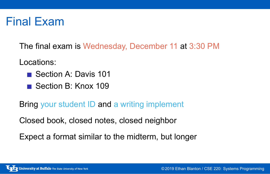## Final Exam

The final exam is Wednesday, December 11 at 3:30 PM

Locations:

- Section A: Davis 101
- Section B: Knox 109

Bring your student ID and a writing implement

Closed book, closed notes, closed neighbor

Expect a format similar to the midterm, but longer